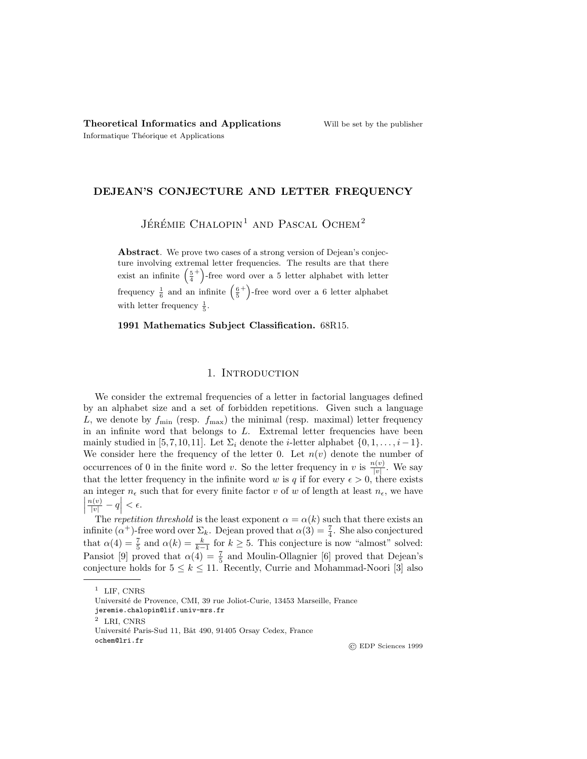### DEJEAN'S CONJECTURE AND LETTER FREQUENCY

JÉRÉMIE CHALOPIN<sup>1</sup> AND PASCAL OCHEM<sup>2</sup>

Abstract. We prove two cases of a strong version of Dejean's conjecture involving extremal letter frequencies. The results are that there exist an infinite  $\left(\frac{5}{4}\right)$ <sup>+</sup>)-free word over a 5 letter alphabet with letter frequency  $\frac{1}{6}$  and an infinite  $\left(\frac{6}{5}\right)$ <sup>+</sup>)-free word over a 6 letter alphabet with letter frequency  $\frac{1}{5}$ .

1991 Mathematics Subject Classification. 68R15.

# 1. INTRODUCTION

We consider the extremal frequencies of a letter in factorial languages defined by an alphabet size and a set of forbidden repetitions. Given such a language L, we denote by  $f_{\min}$  (resp.  $f_{\max}$ ) the minimal (resp. maximal) letter frequency in an infinite word that belongs to  $L$ . Extremal letter frequencies have been mainly studied in [5,7,10,11]. Let  $\Sigma_i$  denote the *i*-letter alphabet  $\{0, 1, \ldots, i-1\}$ . We consider here the frequency of the letter 0. Let  $n(v)$  denote the number of occurrences of 0 in the finite word v. So the letter frequency in v is  $\frac{n(v)}{|v|}$ . We say that the letter frequency in the infinite word w is q if for every  $\epsilon > 0$ , there exists an integer  $n_{\epsilon}$  such that for every finite factor v of w of length at least  $n_{\epsilon}$ , we have  $\begin{array}{c} \begin{array}{c} \begin{array}{c} \end{array} \\ \begin{array}{c} \end{array} \end{array} \end{array}$  $\left|\frac{n(v)}{|v|}-q\right| < \epsilon.$ 

The repetition threshold is the least exponent  $\alpha = \alpha(k)$  such that there exists an infinite ( $\alpha^+$ )-free word over  $\Sigma_k$ . Dejean proved that  $\alpha(3) = \frac{7}{4}$ . She also conjectured that  $\alpha(4) = \frac{7}{5}$  and  $\alpha(k) = \frac{k}{k-1}$  for  $k \ge 5$ . This conjecture is now "almost" solved: Pansiot [9] proved that  $\alpha(4) = \frac{7}{5}$  and Moulin-Ollagnier [6] proved that Dejean's conjecture holds for  $5 \leq k \leq 11$ . Recently, Currie and Mohammad-Noori [3] also

© EDP Sciences 1999

 $1$  LIF, CNRS

Université de Provence, CMI, 39 rue Joliot-Curie, 13453 Marseille, France

jeremie.chalopin@lif.univ-mrs.fr

<sup>2</sup> LRI, CNRS

Université Paris-Sud 11, Bât 490, 91405 Orsay Cedex, France ochem@lri.fr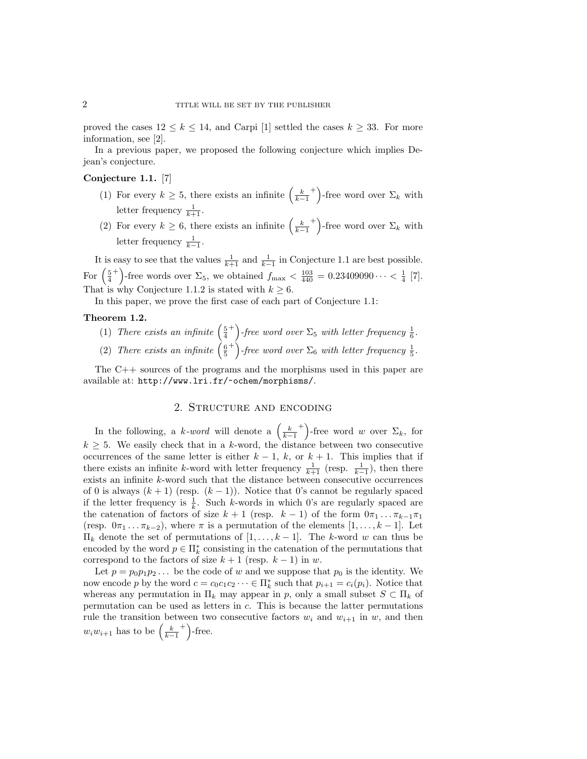proved the cases  $12 \leq k \leq 14$ , and Carpi [1] settled the cases  $k \geq 33$ . For more information, see [2].

In a previous paper, we proposed the following conjecture which implies Dejean's conjecture.

### Conjecture 1.1. [7]

- (1) For every  $k \geq 5$ , there exists an infinite  $\left(\frac{k}{k-1}\right)$ <sup>+</sup>)-free word over  $\Sigma_k$  with letter frequency  $\frac{1}{k+1}$ .
- (2) For every  $k \geq 6$ , there exists an infinite  $\left(\frac{k}{k-1}\right)$ <sup>+</sup>)-free word over  $\Sigma_k$  with letter frequency  $\frac{1}{k-1}$ .

It is easy to see that the values  $\frac{1}{k+1}$  and  $\frac{1}{k-1}$  in Conjecture 1.1 are best possible. For  $\left(\frac{5}{4}\right)$ <sup>+</sup>)-free words over  $\Sigma_5$ , we obtained  $f_{\text{max}} < \frac{103}{440} = 0.23409090 \cdots < \frac{1}{4}$  [7]. That is why Conjecture 1.1.2 is stated with  $k \geq 6$ .

In this paper, we prove the first case of each part of Conjecture 1.1:

#### Theorem 1.2.

- (1) There exists an infinite  $\left(\frac{5}{4}\right)$ <sup>+</sup>) -free word over  $\Sigma_5$  with letter frequency  $\frac{1}{6}$ .
- (2) There exists an infinite  $\left(\frac{6}{5}\right)$ <sup>+</sup>) -free word over  $\Sigma_6$  with letter frequency  $\frac{1}{5}$ .

The C++ sources of the programs and the morphisms used in this paper are available at: http://www.lri.fr/~ochem/morphisms/.

#### 2. Structure and encoding

In the following, a k-word will denote a  $\left(\frac{k}{k-1}\right)$ <sup>+</sup>)-free word w over  $\Sigma_k$ , for  $k \geq 5$ . We easily check that in a k-word, the distance between two consecutive occurrences of the same letter is either  $k-1$ , k, or  $k+1$ . This implies that if there exists an infinite k-word with letter frequency  $\frac{1}{k+1}$  (resp.  $\frac{1}{k-1}$ ), then there exists an infinite k-word such that the distance between consecutive occurrences of 0 is always  $(k + 1)$  (resp.  $(k - 1)$ ). Notice that 0's cannot be regularly spaced if the letter frequency is  $\frac{1}{k}$ . Such k-words in which 0's are regularly spaced are the catenation of factors of size  $k + 1$  (resp.  $k - 1$ ) of the form  $0\pi_1 \dots \pi_{k-1}\pi_1$ (resp.  $0\pi_1 \ldots \pi_{k-2}$ ), where  $\pi$  is a permutation of the elements  $[1, \ldots, k-1]$ . Let  $\Pi_k$  denote the set of permutations of  $[1, \ldots, k-1]$ . The k-word w can thus be encoded by the word  $p \in \Pi_k^*$  consisting in the catenation of the permutations that correspond to the factors of size  $k + 1$  (resp.  $k - 1$ ) in w.

Let  $p = p_0p_1p_2...$  be the code of w and we suppose that  $p_0$  is the identity. We now encode p by the word  $c = c_0 c_1 c_2 \cdots \in \Pi_k^*$  such that  $p_{i+1} = c_i(p_i)$ . Notice that whereas any permutation in  $\Pi_k$  may appear in p, only a small subset  $S \subset \Pi_k$  of permutation can be used as letters in c. This is because the latter permutations rule the transition between two consecutive factors  $w_i$  and  $w_{i+1}$  in w, and then  $w_iw_{i+1}$  has to be  $\left(\frac{k}{k-1}\right)$  $^{+}$ )-free.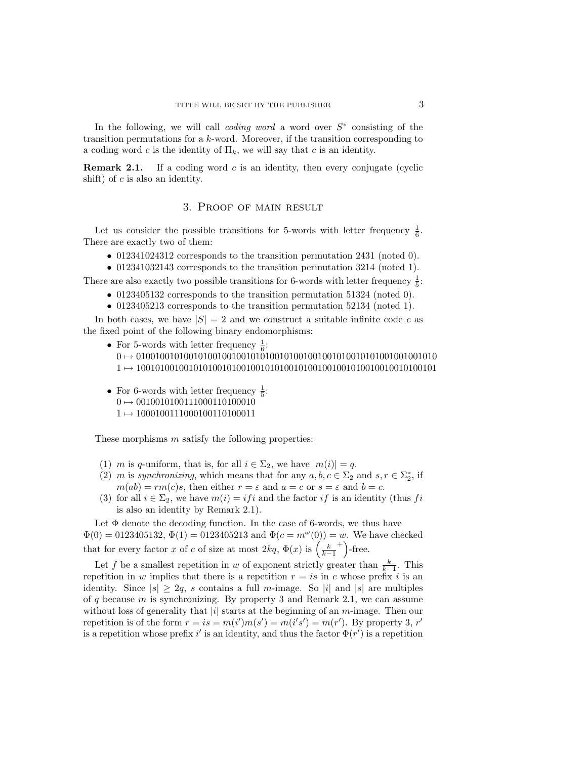In the following, we will call *coding word* a word over  $S^*$  consisting of the transition permutations for a k-word. Moreover, if the transition corresponding to a coding word c is the identity of  $\Pi_k$ , we will say that c is an identity.

**Remark 2.1.** If a coding word c is an identity, then every conjugate (cyclic shift) of  $c$  is also an identity.

### 3. Proof of main result

Let us consider the possible transitions for 5-words with letter frequency  $\frac{1}{6}$ . There are exactly two of them:

• 012341024312 corresponds to the transition permutation 2431 (noted 0).

• 012341032143 corresponds to the transition permutation 3214 (noted 1).

There are also exactly two possible transitions for 6-words with letter frequency  $\frac{1}{5}$ :

- 0123405132 corresponds to the transition permutation 51324 (noted 0).
- 0123405213 corresponds to the transition permutation 52134 (noted 1).

In both cases, we have  $|S| = 2$  and we construct a suitable infinite code c as the fixed point of the following binary endomorphisms:

- For 5-words with letter frequency  $\frac{1}{6}$ :
	- 0 7→ 010010010100101001001001010100101001001001010010101001001001010 1 7→ 100101001001010100101001001010100101001001001010010010010100101
- For 6-words with letter frequency  $\frac{1}{5}$ :  $0 \mapsto 0010010100111000110100010$  $1 \mapsto 1000100111000100110100011$

These morphisms m satisfy the following properties:

- (1) m is q-uniform, that is, for all  $i \in \Sigma_2$ , we have  $|m(i)| = q$ .
- (2) m is synchronizing, which means that for any  $a, b, c \in \Sigma_2$  and  $s, r \in \Sigma_2^*$ , if  $m(ab) = rm(c)s$ , then either  $r = \varepsilon$  and  $a = c$  or  $s = \varepsilon$  and  $b = c$ .
- (3) for all  $i \in \Sigma_2$ , we have  $m(i) = if i$  and the factor if is an identity (thus fi is also an identity by Remark 2.1).

Let  $\Phi$  denote the decoding function. In the case of 6-words, we thus have  $\Phi(0) = 0123405132, \Phi(1) = 0123405213$  and  $\Phi(c = m^{\omega}(0)) = w$ . We have checked that for every factor x of c of size at most  $2kq$ ,  $\Phi(x)$  is  $\left(\frac{k}{k-1}\right)$  $^{+}$ )-free.

Let f be a smallest repetition in w of exponent strictly greater than  $\frac{k}{k-1}$ . This repetition in w implies that there is a repetition  $r = i s$  in c whose prefix i is an identity. Since  $|s| \geq 2q$ , s contains a full m-image. So |i| and |s| are multiples of q because m is synchronizing. By property 3 and Remark 2.1, we can assume without loss of generality that  $|i|$  starts at the beginning of an m-image. Then our repetition is of the form  $r = is = m(i')m(s') = m(i's') = m(r')$ . By property 3, r' is a repetition whose prefix i' is an identity, and thus the factor  $\Phi(r')$  is a repetition